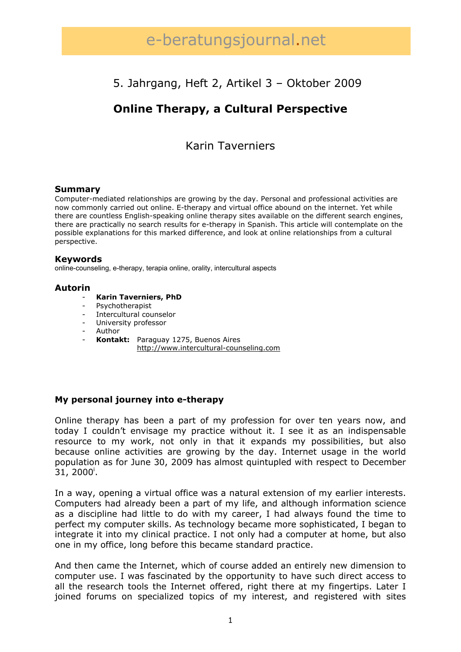# e-beratungsjournal.net

# 5. Jahrgang, Heft 2, Artikel 3 – Oktober 2009

# **Online Therapy, a Cultural Perspective**

### Karin Taverniers

#### **Summary**

Computer-mediated relationships are growing by the day. Personal and professional activities are now commonly carried out online. E-therapy and virtual office abound on the internet. Yet while there are countless English-speaking online therapy sites available on the different search engines, there are practically no search results for e-therapy in Spanish. This article will contemplate on the possible explanations for this marked difference, and look at online relationships from a cultural perspective.

#### **Keywords**

online-counseling, e-therapy, terapia online, orality, intercultural aspects

#### **Autorin**

- **Karin Taverniers, PhD**
- Psychotherapist
- Intercultural counselor
- University professor
- Author
- **Kontakt:** Paraguay 1275, Buenos Aires http://www.intercultural-counseling.com

#### **My personal journey into e-therapy**

Online therapy has been a part of my profession for over ten years now, and today I couldn't envisage my practice without it. I see it as an indispensable resource to my work, not only in that it expands my possibilities, but also because online activities are growing by the day. Internet usage in the world population as for June 30, 2009 has almost quintupled with respect to December 31, 2000<sup>i</sup>.

In a way, opening a virtual office was a natural extension of my earlier interests. Computers had already been a part of my life, and although information science as a discipline had little to do with my career, I had always found the time to perfect my computer skills. As technology became more sophisticated, I began to integrate it into my clinical practice. I not only had a computer at home, but also one in my office, long before this became standard practice.

And then came the Internet, which of course added an entirely new dimension to computer use. I was fascinated by the opportunity to have such direct access to all the research tools the Internet offered, right there at my fingertips. Later I joined forums on specialized topics of my interest, and registered with sites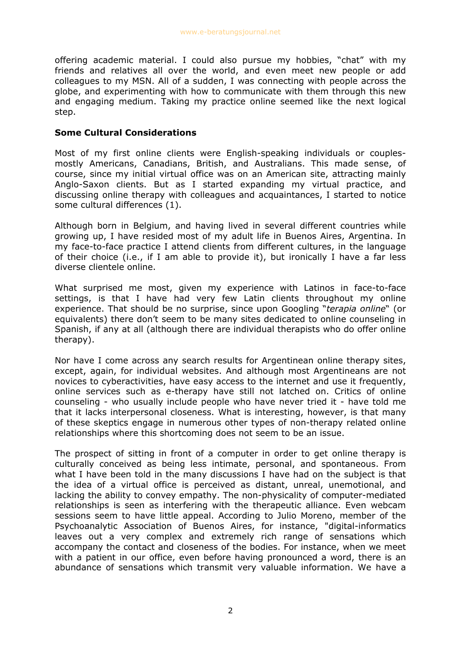offering academic material. I could also pursue my hobbies, "chat" with my friends and relatives all over the world, and even meet new people or add colleagues to my MSN. All of a sudden, I was connecting with people across the globe, and experimenting with how to communicate with them through this new and engaging medium. Taking my practice online seemed like the next logical step.

#### **Some Cultural Considerations**

Most of my first online clients were English-speaking individuals or couplesmostly Americans, Canadians, British, and Australians. This made sense, of course, since my initial virtual office was on an American site, attracting mainly Anglo-Saxon clients. But as I started expanding my virtual practice, and discussing online therapy with colleagues and acquaintances, I started to notice some cultural differences (1).

Although born in Belgium, and having lived in several different countries while growing up, I have resided most of my adult life in Buenos Aires, Argentina. In my face-to-face practice I attend clients from different cultures, in the language of their choice (i.e., if I am able to provide it), but ironically I have a far less diverse clientele online.

What surprised me most, given my experience with Latinos in face-to-face settings, is that I have had very few Latin clients throughout my online experience. That should be no surprise, since upon Googling "*terapia online*" (or equivalents) there don't seem to be many sites dedicated to online counseling in Spanish, if any at all (although there are individual therapists who do offer online therapy).

Nor have I come across any search results for Argentinean online therapy sites, except, again, for individual websites. And although most Argentineans are not novices to cyberactivities, have easy access to the internet and use it frequently, online services such as e-therapy have still not latched on. Critics of online counseling - who usually include people who have never tried it - have told me that it lacks interpersonal closeness. What is interesting, however, is that many of these skeptics engage in numerous other types of non-therapy related online relationships where this shortcoming does not seem to be an issue.

The prospect of sitting in front of a computer in order to get online therapy is culturally conceived as being less intimate, personal, and spontaneous. From what I have been told in the many discussions I have had on the subject is that the idea of a virtual office is perceived as distant, unreal, unemotional, and lacking the ability to convey empathy. The non-physicality of computer-mediated relationships is seen as interfering with the therapeutic alliance. Even webcam sessions seem to have little appeal. According to Julio Moreno, member of the Psychoanalytic Association of Buenos Aires, for instance, "digital-informatics leaves out a very complex and extremely rich range of sensations which accompany the contact and closeness of the bodies. For instance, when we meet with a patient in our office, even before having pronounced a word, there is an abundance of sensations which transmit very valuable information. We have a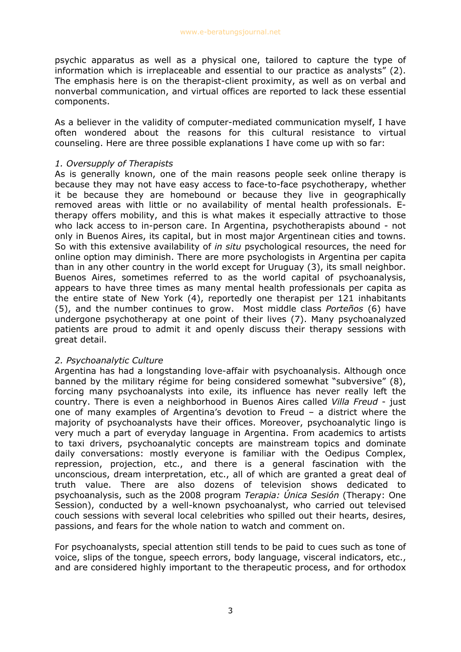psychic apparatus as well as a physical one, tailored to capture the type of information which is irreplaceable and essential to our practice as analysts" (2). The emphasis here is on the therapist-client proximity, as well as on verbal and nonverbal communication, and virtual offices are reported to lack these essential components.

As a believer in the validity of computer-mediated communication myself, I have often wondered about the reasons for this cultural resistance to virtual counseling. Here are three possible explanations I have come up with so far:

#### *1. Oversupply of Therapists*

As is generally known, one of the main reasons people seek online therapy is because they may not have easy access to face-to-face psychotherapy, whether it be because they are homebound or because they live in geographically removed areas with little or no availability of mental health professionals. Etherapy offers mobility, and this is what makes it especially attractive to those who lack access to in-person care. In Argentina, psychotherapists abound - not only in Buenos Aires, its capital, but in most major Argentinean cities and towns. So with this extensive availability of *in situ* psychological resources, the need for online option may diminish. There are more psychologists in Argentina per capita than in any other country in the world except for Uruguay (3), its small neighbor. Buenos Aires, sometimes referred to as the world capital of psychoanalysis, appears to have three times as many mental health professionals per capita as the entire state of New York (4), reportedly one therapist per 121 inhabitants (5), and the number continues to grow. Most middle class *Porteños* (6) have undergone psychotherapy at one point of their lives (7). Many psychoanalyzed patients are proud to admit it and openly discuss their therapy sessions with great detail.

#### *2. Psychoanalytic Culture*

Argentina has had a longstanding love-affair with psychoanalysis. Although once banned by the military régime for being considered somewhat "subversive" (8), forcing many psychoanalysts into exile, its influence has never really left the country. There is even a neighborhood in Buenos Aires called *Villa Freud* - just one of many examples of Argentina's devotion to Freud – a district where the majority of psychoanalysts have their offices. Moreover, psychoanalytic lingo is very much a part of everyday language in Argentina. From academics to artists to taxi drivers, psychoanalytic concepts are mainstream topics and dominate daily conversations: mostly everyone is familiar with the Oedipus Complex, repression, projection, etc., and there is a general fascination with the unconscious, dream interpretation, etc., all of which are granted a great deal of truth value. There are also dozens of television shows dedicated to psychoanalysis, such as the 2008 program *Terapia: Única Sesión* (Therapy: One Session), conducted by a well-known psychoanalyst, who carried out televised couch sessions with several local celebrities who spilled out their hearts, desires, passions, and fears for the whole nation to watch and comment on.

For psychoanalysts, special attention still tends to be paid to cues such as tone of voice, slips of the tongue, speech errors, body language, visceral indicators, etc., and are considered highly important to the therapeutic process, and for orthodox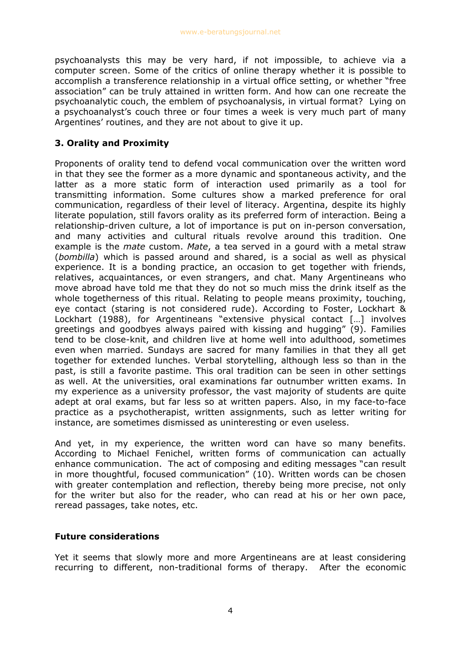psychoanalysts this may be very hard, if not impossible, to achieve via a computer screen. Some of the critics of online therapy whether it is possible to accomplish a transference relationship in a virtual office setting, or whether "free association" can be truly attained in written form. And how can one recreate the psychoanalytic couch, the emblem of psychoanalysis, in virtual format? Lying on a psychoanalyst's couch three or four times a week is very much part of many Argentines' routines, and they are not about to give it up.

### **3. Orality and Proximity**

Proponents of orality tend to defend vocal communication over the written word in that they see the former as a more dynamic and spontaneous activity, and the latter as a more static form of interaction used primarily as a tool for transmitting information. Some cultures show a marked preference for oral communication, regardless of their level of literacy. Argentina, despite its highly literate population, still favors orality as its preferred form of interaction. Being a relationship-driven culture, a lot of importance is put on in-person conversation, and many activities and cultural rituals revolve around this tradition. One example is the *mate* custom. *Mate*, a tea served in a gourd with a metal straw (*bombilla*) which is passed around and shared, is a social as well as physical experience. It is a bonding practice, an occasion to get together with friends, relatives, acquaintances, or even strangers, and chat. Many Argentineans who move abroad have told me that they do not so much miss the drink itself as the whole togetherness of this ritual. Relating to people means proximity, touching, eye contact (staring is not considered rude). According to Foster, Lockhart & Lockhart (1988), for Argentineans "extensive physical contact […] involves greetings and goodbyes always paired with kissing and hugging" (9). Families tend to be close-knit, and children live at home well into adulthood, sometimes even when married. Sundays are sacred for many families in that they all get together for extended lunches. Verbal storytelling, although less so than in the past, is still a favorite pastime. This oral tradition can be seen in other settings as well. At the universities, oral examinations far outnumber written exams. In my experience as a university professor, the vast majority of students are quite adept at oral exams, but far less so at written papers. Also, in my face-to-face practice as a psychotherapist, written assignments, such as letter writing for instance, are sometimes dismissed as uninteresting or even useless.

And yet, in my experience, the written word can have so many benefits. According to Michael Fenichel, written forms of communication can actually enhance communication. The act of composing and editing messages "can result in more thoughtful, focused communication" (10). Written words can be chosen with greater contemplation and reflection, thereby being more precise, not only for the writer but also for the reader, who can read at his or her own pace, reread passages, take notes, etc.

#### **Future considerations**

Yet it seems that slowly more and more Argentineans are at least considering recurring to different, non-traditional forms of therapy. After the economic